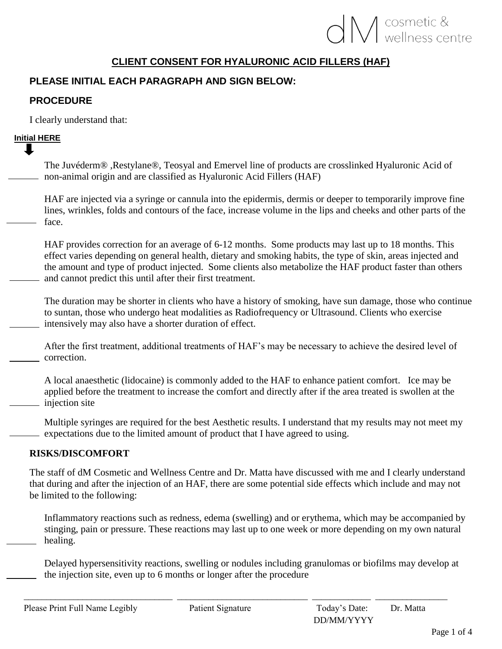# **IV** cosmetic &

# **CLIENT CONSENT FOR HYALURONIC ACID FILLERS (HAF)**

# **PLEASE INITIAL EACH PARAGRAPH AND SIGN BELOW:**

## **PROCEDURE**

I clearly understand that:

# **Initial HERE**

The Juvéderm® ,Restylane®, Teosyal and Emervel line of products are crosslinked Hyaluronic Acid of non-animal origin and are classified as Hyaluronic Acid Fillers (HAF)

HAF are injected via a syringe or cannula into the epidermis, dermis or deeper to temporarily improve fine lines, wrinkles, folds and contours of the face, increase volume in the lips and cheeks and other parts of the face.

HAF provides correction for an average of 6-12 months. Some products may last up to 18 months. This effect varies depending on general health, dietary and smoking habits, the type of skin, areas injected and the amount and type of product injected. Some clients also metabolize the HAF product faster than others and cannot predict this until after their first treatment.

The duration may be shorter in clients who have a history of smoking, have sun damage, those who continue to suntan, those who undergo heat modalities as Radiofrequency or Ultrasound. Clients who exercise intensively may also have a shorter duration of effect.

After the first treatment, additional treatments of HAF's may be necessary to achieve the desired level of correction.

A local anaesthetic (lidocaine) is commonly added to the HAF to enhance patient comfort. Ice may be applied before the treatment to increase the comfort and directly after if the area treated is swollen at the injection site

Multiple syringes are required for the best Aesthetic results. I understand that my results may not meet my expectations due to the limited amount of product that I have agreed to using.

# **RISKS/DISCOMFORT**

The staff of dM Cosmetic and Wellness Centre and Dr. Matta have discussed with me and I clearly understand that during and after the injection of an HAF, there are some potential side effects which include and may not be limited to the following:

Inflammatory reactions such as redness, edema (swelling) and or erythema, which may be accompanied by stinging, pain or pressure. These reactions may last up to one week or more depending on my own natural healing.

Delayed hypersensitivity reactions, swelling or nodules including granulomas or biofilms may develop at the injection site, even up to 6 months or longer after the procedure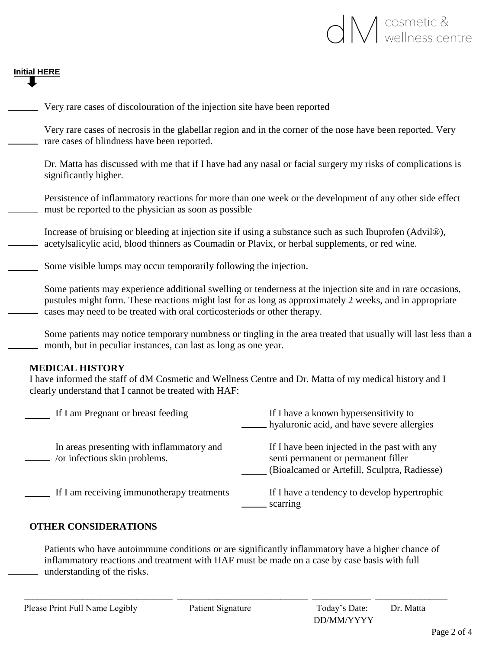

# **Initial HERE**

| Very rare cases of discolouration of the injection site have been reported                                  |                                                                                                                                                                                                       |
|-------------------------------------------------------------------------------------------------------------|-------------------------------------------------------------------------------------------------------------------------------------------------------------------------------------------------------|
| rare cases of blindness have been reported.                                                                 | Very rare cases of necrosis in the glabellar region and in the corner of the nose have been reported. Very                                                                                            |
| significantly higher.                                                                                       | Dr. Matta has discussed with me that if I have had any nasal or facial surgery my risks of complications is                                                                                           |
| must be reported to the physician as soon as possible                                                       | Persistence of inflammatory reactions for more than one week or the development of any other side effect                                                                                              |
| acetylsalicylic acid, blood thinners as Coumadin or Plavix, or herbal supplements, or red wine.             | Increase of bruising or bleeding at injection site if using a substance such as such Ibuprofen (Advil®),                                                                                              |
| Some visible lumps may occur temporarily following the injection.                                           |                                                                                                                                                                                                       |
| Some patients may experience additional swelling or tenderness at the injection site and in rare occasions, |                                                                                                                                                                                                       |
| cases may need to be treated with oral corticosteriods or other therapy.                                    | pustules might form. These reactions might last for as long as approximately 2 weeks, and in appropriate                                                                                              |
| month, but in peculiar instances, can last as long as one year.                                             |                                                                                                                                                                                                       |
| <b>MEDICAL HISTORY</b><br>clearly understand that I cannot be treated with HAF:                             | I have informed the staff of dM Cosmetic and Wellness Centre and Dr. Matta of my medical history and I                                                                                                |
| If I am Pregnant or breast feeding                                                                          | Some patients may notice temporary numbness or tingling in the area treated that usually will last less than a<br>If I have a known hypersensitivity to<br>hyaluronic acid, and have severe allergies |
| In areas presenting with inflammatory and<br>$\sim$ /or infectious skin problems.                           | If I have been injected in the past with any<br>semi permanent or permanent filler<br>(Bioalcamed or Artefill, Sculptra, Radiesse)                                                                    |

Patients who have autoimmune conditions or are significantly inflammatory have a higher chance of inflammatory reactions and treatment with HAF must be made on a case by case basis with full understanding of the risks.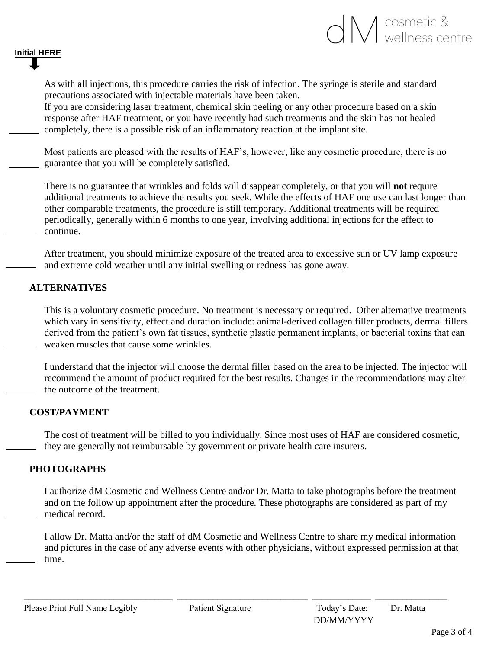

As with all injections, this procedure carries the risk of infection. The syringe is sterile and standard precautions associated with injectable materials have been taken.

If you are considering laser treatment, chemical skin peeling or any other procedure based on a skin response after HAF treatment, or you have recently had such treatments and the skin has not healed completely, there is a possible risk of an inflammatory reaction at the implant site.

Most patients are pleased with the results of HAF's, however, like any cosmetic procedure, there is no guarantee that you will be completely satisfied.

There is no guarantee that wrinkles and folds will disappear completely, or that you will **not** require additional treatments to achieve the results you seek. While the effects of HAF one use can last longer than other comparable treatments, the procedure is still temporary. Additional treatments will be required periodically, generally within 6 months to one year, involving additional injections for the effect to continue.

After treatment, you should minimize exposure of the treated area to excessive sun or UV lamp exposure and extreme cold weather until any initial swelling or redness has gone away.

## **ALTERNATIVES**

**Initial HERE**

This is a voluntary cosmetic procedure. No treatment is necessary or required. Other alternative treatments which vary in sensitivity, effect and duration include: animal-derived collagen filler products, dermal fillers derived from the patient's own fat tissues, synthetic plastic permanent implants, or bacterial toxins that can weaken muscles that cause some wrinkles.

I understand that the injector will choose the dermal filler based on the area to be injected. The injector will recommend the amount of product required for the best results. Changes in the recommendations may alter the outcome of the treatment.

### **COST/PAYMENT**

The cost of treatment will be billed to you individually. Since most uses of HAF are considered cosmetic, they are generally not reimbursable by government or private health care insurers.

## **PHOTOGRAPHS**

I authorize dM Cosmetic and Wellness Centre and/or Dr. Matta to take photographs before the treatment and on the follow up appointment after the procedure. These photographs are considered as part of my medical record.

I allow Dr. Matta and/or the staff of dM Cosmetic and Wellness Centre to share my medical information and pictures in the case of any adverse events with other physicians, without expressed permission at that time.